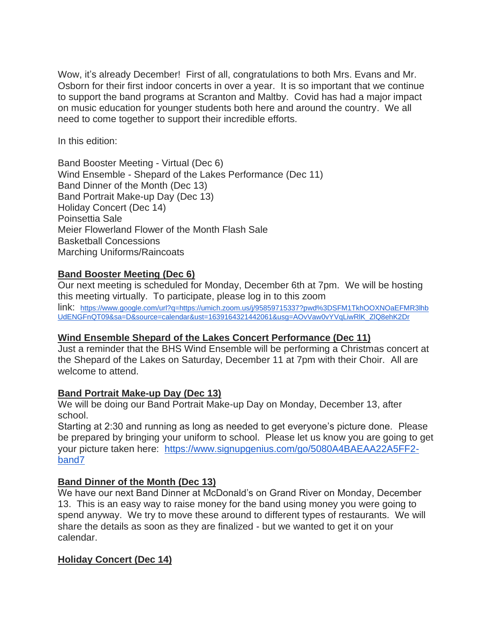Wow, it's already December! First of all, congratulations to both Mrs. Evans and Mr. Osborn for their first indoor concerts in over a year. It is so important that we continue to support the band programs at Scranton and Maltby. Covid has had a major impact on music education for younger students both here and around the country. We all need to come together to support their incredible efforts.

In this edition:

Band Booster Meeting - Virtual (Dec 6) Wind Ensemble - Shepard of the Lakes Performance (Dec 11) Band Dinner of the Month (Dec 13) Band Portrait Make-up Day (Dec 13) Holiday Concert (Dec 14) Poinsettia Sale Meier Flowerland Flower of the Month Flash Sale Basketball Concessions Marching Uniforms/Raincoats

# **Band Booster Meeting (Dec 6)**

Our next meeting is scheduled for Monday, December 6th at 7pm. We will be hosting this meeting virtually. To participate, please log in to this zoom link: [https://www.google.com/url?q=https://umich.zoom.us/j/95859715337?pwd%3DSFM1TkhOOXNOaEFMR3lhb](https://www.google.com/url?q=https://umich.zoom.us/j/95859715337?pwd%3DSFM1TkhOOXNOaEFMR3lhbUdENGFnQT09&sa=D&source=calendar&ust=1639164321442061&usg=AOvVaw0vYVqLiwRlK_ZlQ8ehK2Dr) [UdENGFnQT09&sa=D&source=calendar&ust=1639164321442061&usg=AOvVaw0vYVqLiwRlK\\_ZlQ8ehK2Dr](https://www.google.com/url?q=https://umich.zoom.us/j/95859715337?pwd%3DSFM1TkhOOXNOaEFMR3lhbUdENGFnQT09&sa=D&source=calendar&ust=1639164321442061&usg=AOvVaw0vYVqLiwRlK_ZlQ8ehK2Dr)

# **Wind Ensemble Shepard of the Lakes Concert Performance (Dec 11)**

Just a reminder that the BHS Wind Ensemble will be performing a Christmas concert at the Shepard of the Lakes on Saturday, December 11 at 7pm with their Choir. All are welcome to attend.

# **Band Portrait Make-up Day (Dec 13)**

We will be doing our Band Portrait Make-up Day on Monday, December 13, after school.

Starting at 2:30 and running as long as needed to get everyone's picture done. Please be prepared by bringing your uniform to school. Please let us know you are going to get your picture taken here: [https://www.signupgenius.com/go/5080A4BAEAA22A5FF2](https://www.signupgenius.com/go/5080A4BAEAA22A5FF2-band7) [band7](https://www.signupgenius.com/go/5080A4BAEAA22A5FF2-band7)

# **Band Dinner of the Month (Dec 13)**

We have our next Band Dinner at McDonald's on Grand River on Monday, December 13. This is an easy way to raise money for the band using money you were going to spend anyway. We try to move these around to different types of restaurants. We will share the details as soon as they are finalized - but we wanted to get it on your calendar.

# **Holiday Concert (Dec 14)**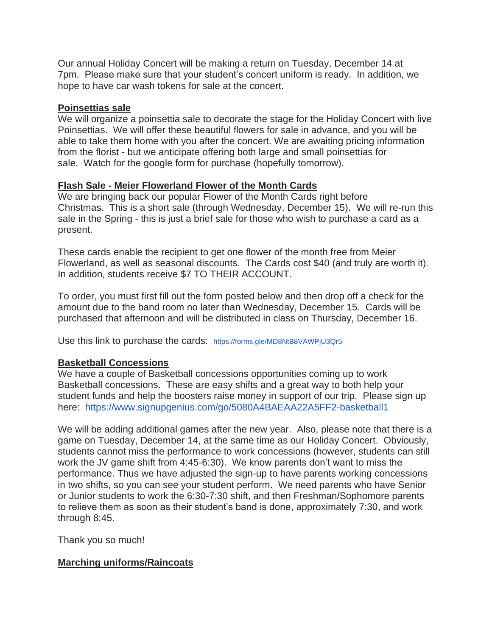Our annual Holiday Concert will be making a return on Tuesday, December 14 at 7pm. Please make sure that your student's concert uniform is ready. In addition, we hope to have car wash tokens for sale at the concert.

#### **Poinsettias sale**

We will organize a poinsettia sale to decorate the stage for the Holiday Concert with live Poinsettias. We will offer these beautiful flowers for sale in advance, and you will be able to take them home with you after the concert. We are awaiting pricing information from the florist - but we anticipate offering both large and small poinsettias for sale. Watch for the google form for purchase (hopefully tomorrow).

#### **Flash Sale - Meier Flowerland Flower of the Month Cards**

We are bringing back our popular Flower of the Month Cards right before Christmas. This is a short sale (through Wednesday, December 15). We will re-run this sale in the Spring - this is just a brief sale for those who wish to purchase a card as a present.

These cards enable the recipient to get one flower of the month free from Meier Flowerland, as well as seasonal discounts. The Cards cost \$40 (and truly are worth it). In addition, students receive \$7 TO THEIR ACCOUNT.

To order, you must first fill out the form posted below and then drop off a check for the amount due to the band room no later than Wednesday, December 15. Cards will be purchased that afternoon and will be distributed in class on Thursday, December 16.

Use this link to purchase the cards: <https://forms.gle/MD8NtB8VAWPjU3Qr5>

#### **Basketball Concessions**

We have a couple of Basketball concessions opportunities coming up to work Basketball concessions. These are easy shifts and a great way to both help your student funds and help the boosters raise money in support of our trip. Please sign up here: <https://www.signupgenius.com/go/5080A4BAEAA22A5FF2-basketball1>

We will be adding additional games after the new year. Also, please note that there is a game on Tuesday, December 14, at the same time as our Holiday Concert. Obviously, students cannot miss the performance to work concessions (however, students can still work the JV game shift from 4:45-6:30). We know parents don't want to miss the performance. Thus we have adjusted the sign-up to have parents working concessions in two shifts, so you can see your student perform. We need parents who have Senior or Junior students to work the 6:30-7:30 shift, and then Freshman/Sophomore parents to relieve them as soon as their student's band is done, approximately 7:30, and work through 8:45.

Thank you so much!

# **Marching uniforms/Raincoats**